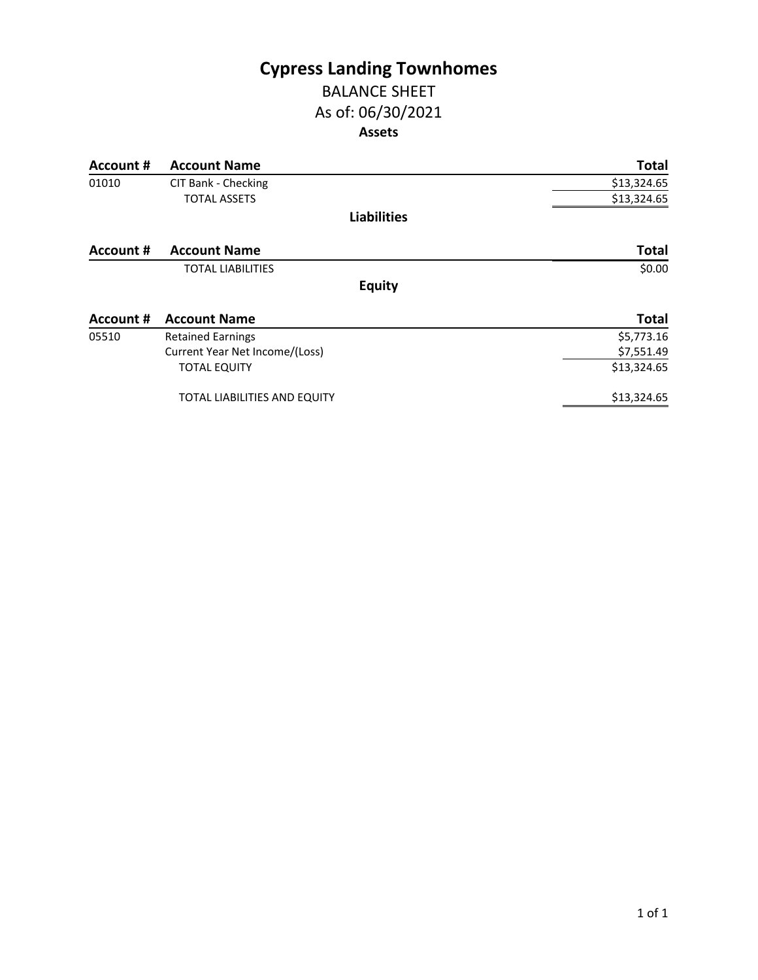## **Cypress Landing Townhomes** BALANCE SHEET

## As of: 06/30/2021 **Assets**

| Account #        | <b>Account Name</b>            | <b>Total</b> |
|------------------|--------------------------------|--------------|
| 01010            | CIT Bank - Checking            | \$13,324.65  |
|                  | <b>TOTAL ASSETS</b>            | \$13,324.65  |
|                  | <b>Liabilities</b>             |              |
| Account #        | <b>Account Name</b>            | <b>Total</b> |
|                  | <b>TOTAL LIABILITIES</b>       | \$0.00       |
|                  | <b>Equity</b>                  |              |
| <b>Account #</b> | <b>Account Name</b>            | <b>Total</b> |
| 05510            | <b>Retained Earnings</b>       | \$5,773.16   |
|                  | Current Year Net Income/(Loss) | \$7,551.49   |
|                  | <b>TOTAL EQUITY</b>            | \$13,324.65  |
|                  | TOTAL LIABILITIES AND EQUITY   | \$13,324.65  |